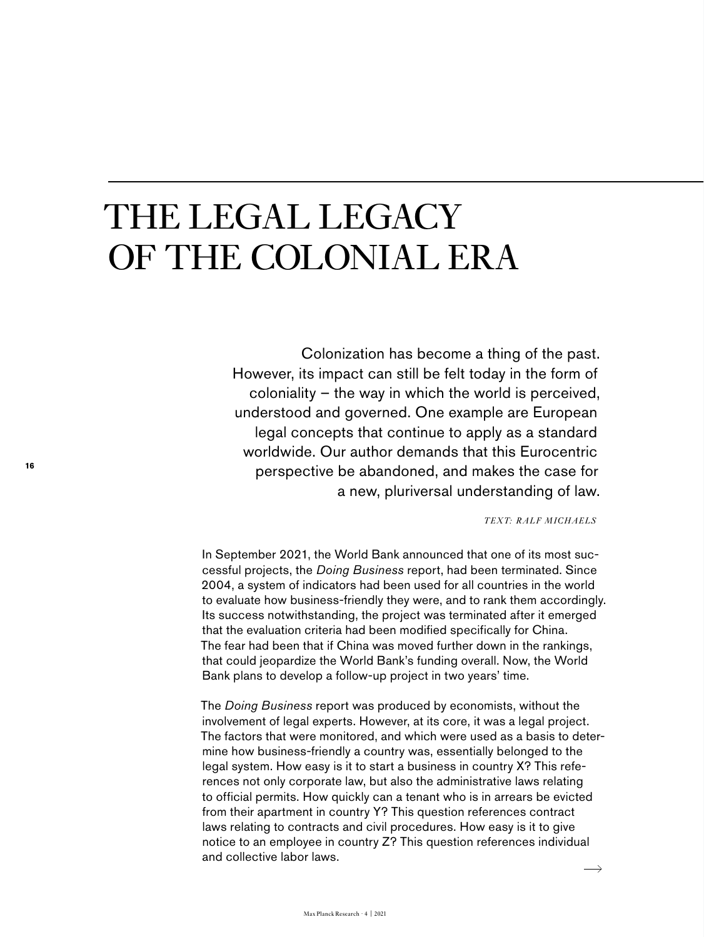## THE LEGAL LEGACY OF THE COLONIAL ERA

Colonization has become a thing of the past. However, its impact can still be felt today in the form of coloniality – the way in which the world is perceived, understood and governed. One example are European legal concepts that continue to apply as a standard worldwide. Our author demands that this Eurocentric perspective be abandoned, and makes the case for a new, pluriversal understanding of law.

*TEXT: RALF MICHAELS*

In September 2021, the World Bank announced that one of its most successful projects, the *Doing Business* report, had been terminated. Since 2004, a system of indicators had been used for all countries in the world to evaluate how business-friendly they were, and to rank them accordingly. Its success notwithstanding, the project was terminated after it emerged that the evaluation criteria had been modified specifically for China. The fear had been that if China was moved further down in the rankings, that could jeopardize the World Bank's funding overall. Now, the World Bank plans to develop a follow-up project in two years' time.

The *Doing Business* report was produced by economists, without the involvement of legal experts. However, at its core, it was a legal project. The factors that were monitored, and which were used as a basis to determine how business-friendly a country was, essentially belonged to the legal system. How easy is it to start a business in country X? This references not only corporate law, but also the administrative laws relating to official permits. How quickly can a tenant who is in arrears be evicted from their apartment in country Y? This question references contract laws relating to contracts and civil procedures. How easy is it to give notice to an employee in country Z? This question references individual and collective labor laws.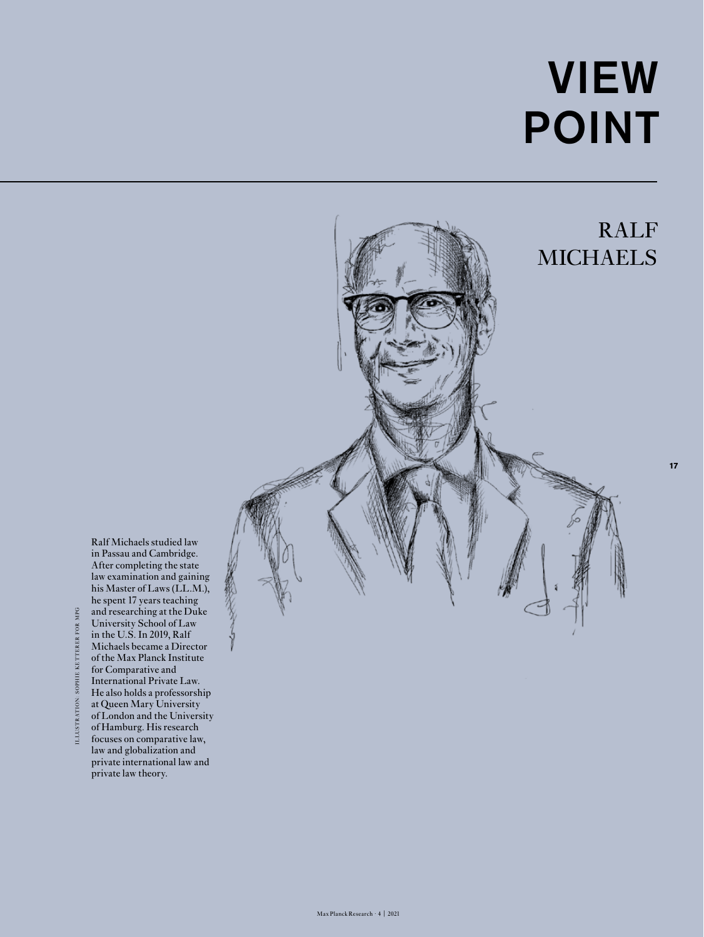## VIEW POINT

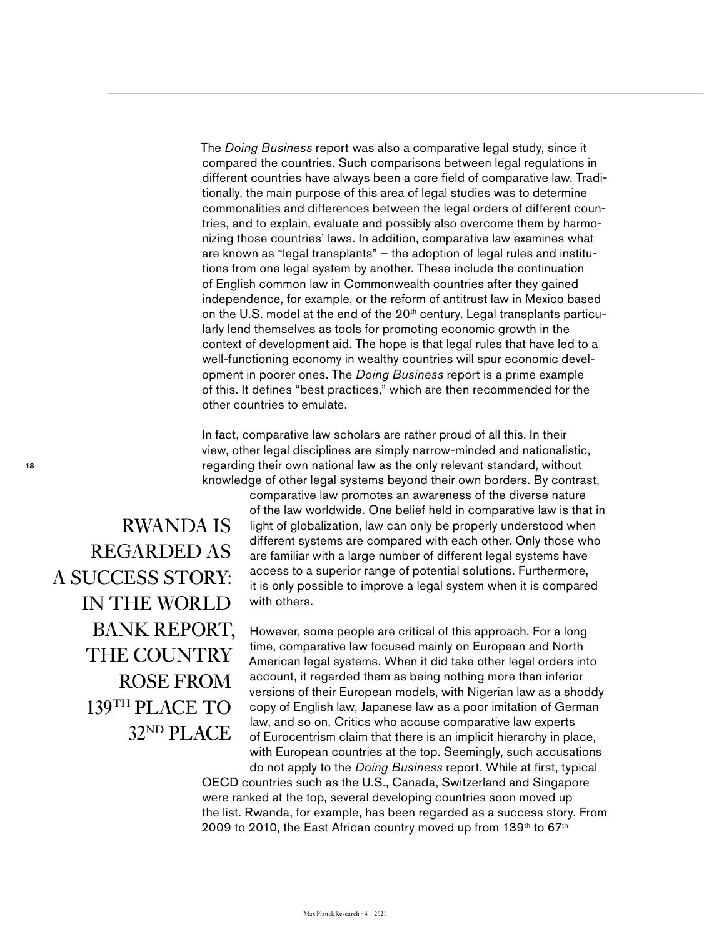The *Doing Business* report was also a comparative legal study, since it compared the countries. Such comparisons between legal regulations in different countries have always been a core field of comparative law. Traditionally, the main purpose of this area of legal studies was to determine commonalities and differences between the legal orders of different countries, and to explain, evaluate and possibly also overcome them by harmonizing those countries' laws. In addition, comparative law examines what are known as "legal transplants" – the adoption of legal rules and institutions from one legal system by another. These include the continuation of English common law in Commonwealth countries after they gained independence, for example, or the reform of antitrust law in Mexico based on the U.S. model at the end of the 20<sup>th</sup> century. Legal transplants particularly lend themselves as tools for promoting economic growth in the context of development aid. The hope is that legal rules that have led to a well-functioning economy in wealthy countries will spur economic development in poorer ones. The *Doing Business* report is a prime example of this. It defines "best practices," which are then recommended for the other countries to emulate.

In fact, comparative law scholars are rather proud of all this. In their view, other legal disciplines are simply narrow-minded and nationalistic, regarding their own national law as the only relevant standard, without knowledge of other legal systems beyond their own borders. By contrast,

RWANDA IS REGARDED AS A SUCCESS STORY: IN THE WORLD BANK REPORT, THE COUNTRY ROSE FROM 139TH PLACE TO 32ND PLACE

comparative law promotes an awareness of the diverse nature of the law worldwide. One belief held in comparative law is that in light of globalization, law can only be properly understood when different systems are compared with each other. Only those who are familiar with a large number of different legal systems have access to a superior range of potential solutions. Furthermore, it is only possible to improve a legal system when it is compared with others.

However, some people are critical of this approach. For a long time, comparative law focused mainly on European and North American legal systems. When it did take other legal orders into account, it regarded them as being nothing more than inferior versions of their European models, with Nigerian law as a shoddy copy of English law, Japanese law as a poor imitation of German law, and so on. Critics who accuse comparative law experts of Eurocentrism claim that there is an implicit hierarchy in place, with European countries at the top. Seemingly, such accusations do not apply to the *Doing Business* report. While at first, typical

OECD countries such as the U.S., Canada, Switzerland and Singapore were ranked at the top, several developing countries soon moved up the list. Rwanda, for example, has been regarded as a success story. From 2009 to 2010, the East African country moved up from  $139<sup>th</sup>$  to 67<sup>th</sup>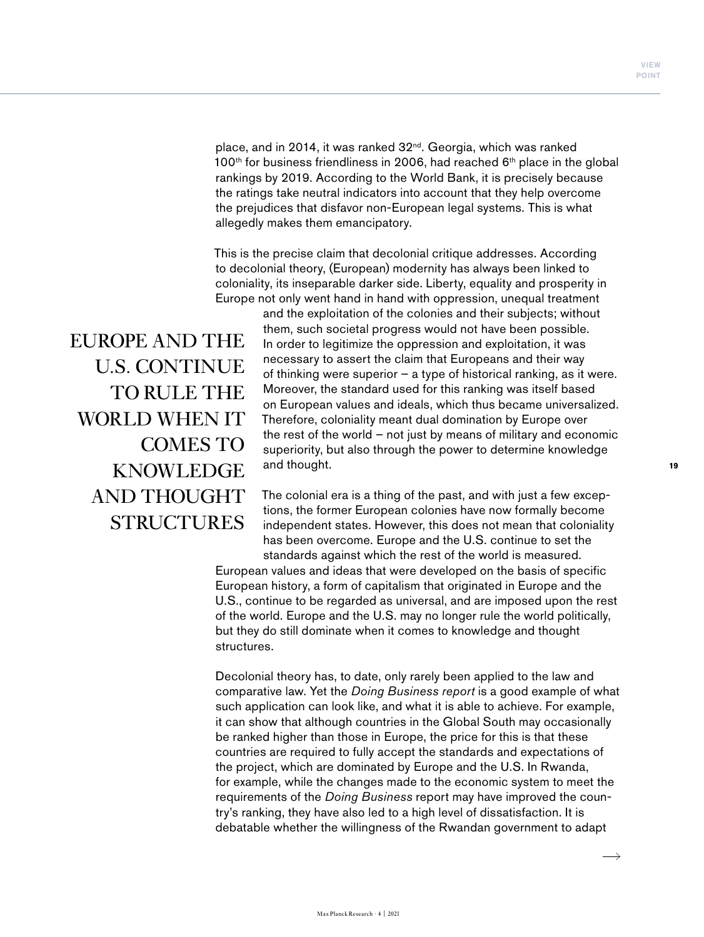place, and in 2014, it was ranked 32<sup>nd</sup>. Georgia, which was ranked 100<sup>th</sup> for business friendliness in 2006, had reached  $6<sup>th</sup>$  place in the global rankings by 2019. According to the World Bank, it is precisely because the ratings take neutral indicators into account that they help overcome the prejudices that disfavor non-European legal systems. This is what allegedly makes them emancipatory.

This is the precise claim that decolonial critique addresses. According to decolonial theory, (European) modernity has always been linked to coloniality, its inseparable darker side. Liberty, equality and prosperity in Europe not only went hand in hand with oppression, unequal treatment

EUROPE AND THE U.S. CONTINUE TO RULE THE WORLD WHEN IT COMES TO KNOWLEDGE AND THOUGHT STRUCTURES

and the exploitation of the colonies and their subjects; without them, such societal progress would not have been possible. In order to legitimize the oppression and exploitation, it was necessary to assert the claim that Europeans and their way of thinking were superior – a type of historical ranking, as it were. Moreover, the standard used for this ranking was itself based on European values and ideals, which thus became universalized. Therefore, coloniality meant dual domination by Europe over the rest of the world – not just by means of military and economic superiority, but also through the power to determine knowledge and thought.

The colonial era is a thing of the past, and with just a few exceptions, the former European colonies have now formally become independent states. However, this does not mean that coloniality has been overcome. Europe and the U.S. continue to set the standards against which the rest of the world is measured.

European values and ideas that were developed on the basis of specific European history, a form of capitalism that originated in Europe and the U.S., continue to be regarded as universal, and are imposed upon the rest of the world. Europe and the U.S. may no longer rule the world politically, but they do still dominate when it comes to knowledge and thought structures.

Decolonial theory has, to date, only rarely been applied to the law and comparative law. Yet the *Doing Business report* is a good example of what such application can look like, and what it is able to achieve. For example, it can show that although countries in the Global South may occasionally be ranked higher than those in Europe, the price for this is that these countries are required to fully accept the standards and expectations of the project, which are dominated by Europe and the U.S. In Rwanda, for example, while the changes made to the economic system to meet the requirements of the *Doing Business* report may have improved the country's ranking, they have also led to a high level of dissatisfaction. It is debatable whether the willingness of the Rwandan government to adapt

 $\rightarrow$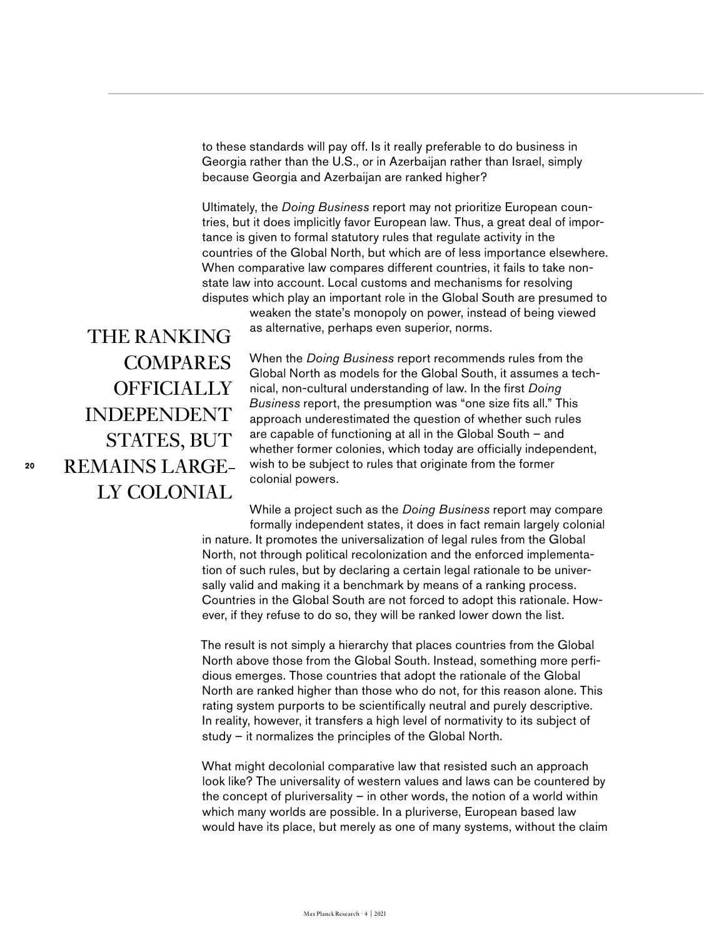to these standards will pay off. Is it really preferable to do business in Georgia rather than the U.S., or in Azerbaijan rather than Israel, simply because Georgia and Azerbaijan are ranked higher?

Ultimately, the *Doing Business* report may not prioritize European countries, but it does implicitly favor European law. Thus, a great deal of importance is given to formal statutory rules that regulate activity in the countries of the Global North, but which are of less importance elsewhere. When comparative law compares different countries, it fails to take nonstate law into account. Local customs and mechanisms for resolving disputes which play an important role in the Global South are presumed to

> weaken the state's monopoly on power, instead of being viewed as alternative, perhaps even superior, norms.

THE RANKING COMPARES **OFFICIALLY** INDEPENDENT STATES, BUT REMAINS LARGE-LY COLONIAL

When the *Doing Business* report recommends rules from the Global North as models for the Global South, it assumes a technical, non-cultural understanding of law. In the first *Doing Business* report, the presumption was "one size fits all." This approach underestimated the question of whether such rules are capable of functioning at all in the Global South – and whether former colonies, which today are officially independent, wish to be subject to rules that originate from the former colonial powers.

While a project such as the *Doing Business* report may compare formally independent states, it does in fact remain largely colonial

in nature. It promotes the universalization of legal rules from the Global North, not through political recolonization and the enforced implementation of such rules, but by declaring a certain legal rationale to be universally valid and making it a benchmark by means of a ranking process. Countries in the Global South are not forced to adopt this rationale. However, if they refuse to do so, they will be ranked lower down the list.

The result is not simply a hierarchy that places countries from the Global North above those from the Global South. Instead, something more perfidious emerges. Those countries that adopt the rationale of the Global North are ranked higher than those who do not, for this reason alone. This rating system purports to be scientifically neutral and purely descriptive. In reality, however, it transfers a high level of normativity to its subject of study – it normalizes the principles of the Global North.

What might decolonial comparative law that resisted such an approach look like? The universality of western values and laws can be countered by the concept of pluriversality – in other words, the notion of a world within which many worlds are possible. In a pluriverse, European based law would have its place, but merely as one of many systems, without the claim